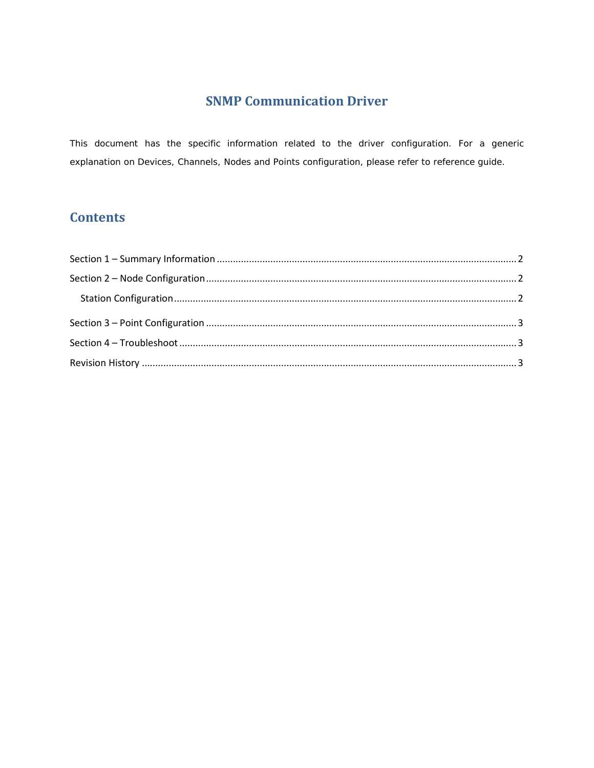# **SNMP Communication Driver**

This document has the specific information related to the driver configuration. For a generic explanation on Devices, Channels, Nodes and Points configuration, please refer to reference guide.

# **Contents**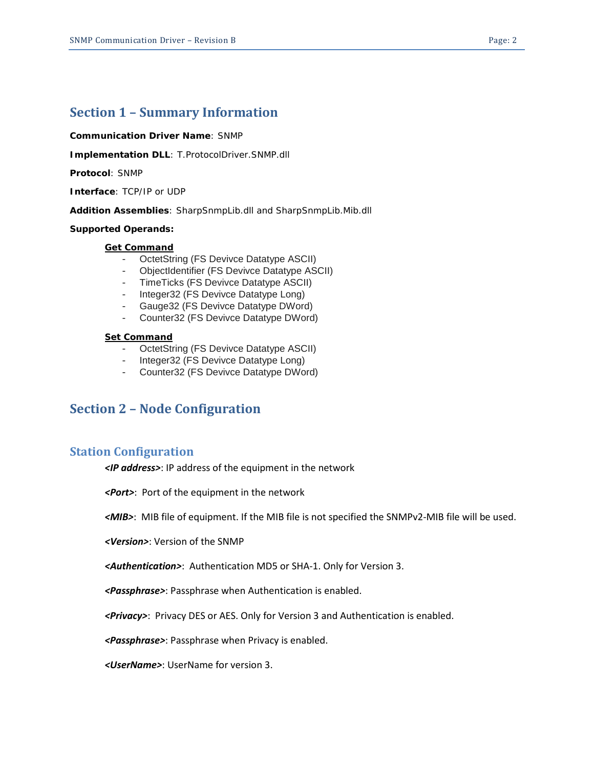#### <span id="page-1-0"></span>**Communication Driver Name**: SNMP

**Implementation DLL**: T.ProtocolDriver.SNMP.dll

**Protocol**: SNMP

**Interface**: TCP/IP or UDP

**Addition Assemblies**: SharpSnmpLib.dll and SharpSnmpLib.Mib.dll

#### **Supported Operands:**

#### *Get Command*

- OctetString (FS Devivce Datatype ASCII)
- ObjectIdentifier (FS Devivce Datatype ASCII)
- TimeTicks (FS Devivce Datatype ASCII)
- Integer32 (FS Devivce Datatype Long)
- Gauge32 (FS Devivce Datatype DWord)
- Counter32 (FS Devivce Datatype DWord)

#### *Set Command*

- OctetString (FS Devivce Datatype ASCII)
- Integer32 (FS Devivce Datatype Long)
- Counter32 (FS Devivce Datatype DWord)

### <span id="page-1-1"></span>**Section 2 – Node Configuration**

### <span id="page-1-2"></span>**Station Configuration**

*<IP address>*: IP address of the equipment in the network

*<Port>*: Port of the equipment in the network

*<MIB>*: MIB file of equipment. If the MIB file is not specified the SNMPv2-MIB file will be used.

*<Version>*: Version of the SNMP

*<Authentication>*: Authentication MD5 or SHA-1. Only for Version 3.

*<Passphrase>*: Passphrase when Authentication is enabled.

*<Privacy>*: Privacy DES or AES. Only for Version 3 and Authentication is enabled.

*<Passphrase>*: Passphrase when Privacy is enabled.

*<UserName>*: UserName for version 3.